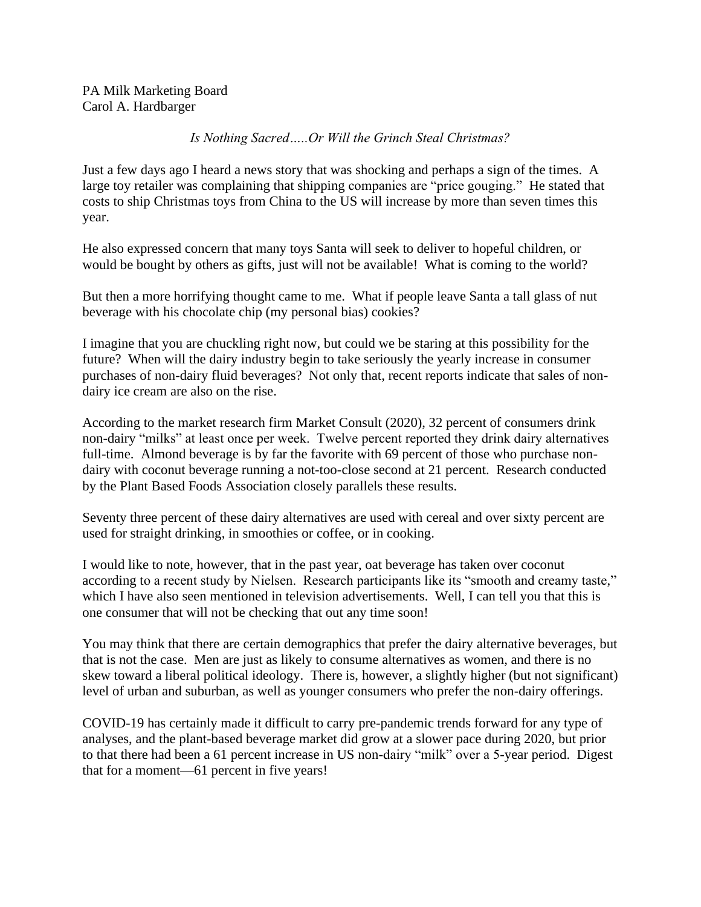## *Is Nothing Sacred…..Or Will the Grinch Steal Christmas?*

Just a few days ago I heard a news story that was shocking and perhaps a sign of the times. A large toy retailer was complaining that shipping companies are "price gouging." He stated that costs to ship Christmas toys from China to the US will increase by more than seven times this year.

He also expressed concern that many toys Santa will seek to deliver to hopeful children, or would be bought by others as gifts, just will not be available! What is coming to the world?

But then a more horrifying thought came to me. What if people leave Santa a tall glass of nut beverage with his chocolate chip (my personal bias) cookies?

I imagine that you are chuckling right now, but could we be staring at this possibility for the future? When will the dairy industry begin to take seriously the yearly increase in consumer purchases of non-dairy fluid beverages? Not only that, recent reports indicate that sales of nondairy ice cream are also on the rise.

According to the market research firm Market Consult (2020), 32 percent of consumers drink non-dairy "milks" at least once per week. Twelve percent reported they drink dairy alternatives full-time. Almond beverage is by far the favorite with 69 percent of those who purchase nondairy with coconut beverage running a not-too-close second at 21 percent. Research conducted by the Plant Based Foods Association closely parallels these results.

Seventy three percent of these dairy alternatives are used with cereal and over sixty percent are used for straight drinking, in smoothies or coffee, or in cooking.

I would like to note, however, that in the past year, oat beverage has taken over coconut according to a recent study by Nielsen. Research participants like its "smooth and creamy taste," which I have also seen mentioned in television advertisements. Well, I can tell you that this is one consumer that will not be checking that out any time soon!

You may think that there are certain demographics that prefer the dairy alternative beverages, but that is not the case. Men are just as likely to consume alternatives as women, and there is no skew toward a liberal political ideology. There is, however, a slightly higher (but not significant) level of urban and suburban, as well as younger consumers who prefer the non-dairy offerings.

COVID-19 has certainly made it difficult to carry pre-pandemic trends forward for any type of analyses, and the plant-based beverage market did grow at a slower pace during 2020, but prior to that there had been a 61 percent increase in US non-dairy "milk" over a 5-year period. Digest that for a moment—61 percent in five years!